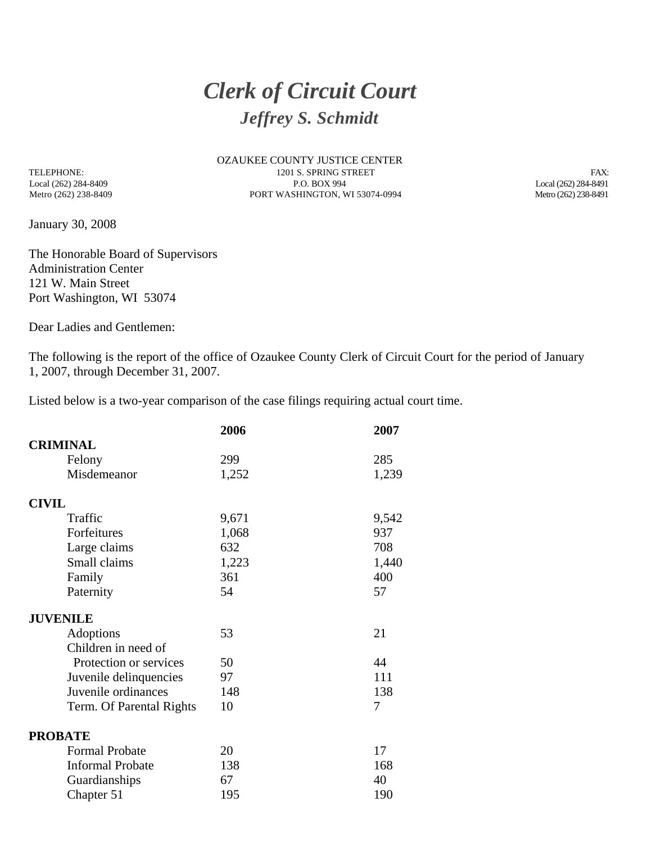## *Clerk of Circuit Court Jeffrey S. Schmidt*

OZAUKEE COUNTY JUSTICE CENTER TELEPHONE: FAX: 1201 S. SPRING STREET FAX: FAX: FAX: 1201 S. SPRING STREET FAX: 1201 S. SPRING STREET FAX: 1201 S. SPRING STREET FAX: 1201 S. SPRING STREET FAX: 1201 S. SPRING STREET FAX: 1201 S. SPRING STREET FAX: 12021 2 Local (262) 284-8409 P.O. BOX 994 Local (262) 284-8491 Metro (262) 238-8409 PORT WASHINGTON, WI 53074-0994 Metro (262) 238-8491

January 30, 2008

The Honorable Board of Supervisors Administration Center 121 W. Main Street Port Washington, WI 53074

Dear Ladies and Gentlemen:

The following is the report of the office of Ozaukee County Clerk of Circuit Court for the period of January 1, 2007, through December 31, 2007.

Listed below is a two-year comparison of the case filings requiring actual court time.

|                          | 2006  | 2007  |
|--------------------------|-------|-------|
| <b>CRIMINAL</b>          |       |       |
| Felony                   | 299   | 285   |
| Misdemeanor              | 1,252 | 1,239 |
| <b>CIVIL</b>             |       |       |
| Traffic                  | 9,671 | 9,542 |
| Forfeitures              | 1,068 | 937   |
| Large claims             | 632   | 708   |
| Small claims             | 1,223 | 1,440 |
| Family                   | 361   | 400   |
| Paternity                | 54    | 57    |
| <b>JUVENILE</b>          |       |       |
| Adoptions                | 53    | 21    |
| Children in need of      |       |       |
| Protection or services   | 50    | 44    |
| Juvenile delinquencies   | 97    | 111   |
| Juvenile ordinances      | 148   | 138   |
| Term. Of Parental Rights | 10    | 7     |
| <b>PROBATE</b>           |       |       |
| <b>Formal Probate</b>    | 20    | 17    |
| <b>Informal Probate</b>  | 138   | 168   |
| Guardianships            | 67    | 40    |
| Chapter 51               | 195   | 190   |